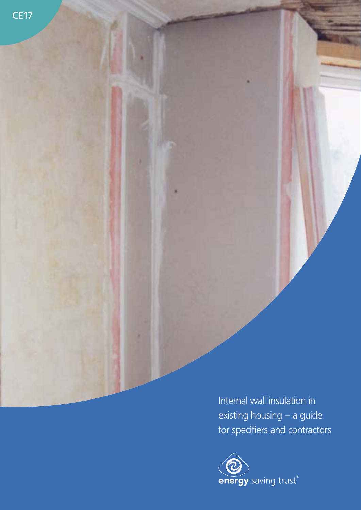Internal wall insulation in existing housing – a guide for specifiers and contractors

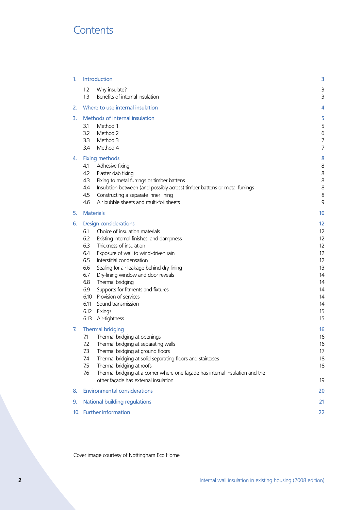# **Contents**

| 1. | <b>Introduction</b>                                                                                                                                                                                                                                                                                                                                                                                                                                                                                                              | 3                                                                                |  |  |
|----|----------------------------------------------------------------------------------------------------------------------------------------------------------------------------------------------------------------------------------------------------------------------------------------------------------------------------------------------------------------------------------------------------------------------------------------------------------------------------------------------------------------------------------|----------------------------------------------------------------------------------|--|--|
|    | 1.2<br>Why insulate?<br>Benefits of internal insulation<br>1.3                                                                                                                                                                                                                                                                                                                                                                                                                                                                   | 3<br>3                                                                           |  |  |
| 2. | Where to use internal insulation                                                                                                                                                                                                                                                                                                                                                                                                                                                                                                 | 4                                                                                |  |  |
| 3. | Methods of internal insulation<br>Method 1<br>3.1<br>3.2<br>Method 2<br>3.3<br>Method 3<br>3.4<br>Method 4                                                                                                                                                                                                                                                                                                                                                                                                                       | 5<br>5<br>6<br>7<br>7                                                            |  |  |
| 4. | <b>Fixing methods</b><br>Adhesive fixing<br>4.1<br>Plaster dab fixing<br>4.2<br>4.3<br>Fixing to metal furrings or timber battens<br>4.4<br>Insulation between (and possibly across) timber battens or metal furrings<br>Constructing a separate inner lining<br>4.5<br>Air bubble sheets and multi-foil sheets<br>4.6                                                                                                                                                                                                           | 8<br>8<br>8<br>8<br>8<br>8<br>9                                                  |  |  |
| 5. | <b>Materials</b>                                                                                                                                                                                                                                                                                                                                                                                                                                                                                                                 | 10                                                                               |  |  |
| 6. | <b>Design considerations</b><br>Choice of insulation materials<br>6.1<br>6.2<br>Existing internal finishes, and dampness<br>Thickness of insulation<br>6.3<br>Exposure of wall to wind-driven rain<br>64<br>Interstitial condensation<br>6.5<br>6.6<br>Sealing for air leakage behind dry-lining<br>6.7<br>Dry-lining window and door reveals<br>Thermal bridging<br>6.8<br>Supports for fitments and fixtures<br>6.9<br>Provision of services<br>6.10<br>6.11<br>Sound transmission<br>Fixings<br>6.12<br>Air-tightness<br>6.13 | 12<br>12<br>12<br>12<br>12<br>12<br>13<br>14<br>14<br>14<br>14<br>14<br>15<br>15 |  |  |
| 7. | <b>Thermal bridging</b><br>Thermal bridging at openings<br>7.1<br>7.2<br>Thermal bridging at separating walls<br>Thermal bridging at ground floors<br>7.3<br>7.4<br>Thermal bridging at solid separating floors and staircases<br>Thermal bridging at roofs<br>7.5<br>7.6<br>Thermal bridging at a corner where one façade has internal insulation and the<br>other façade has external insulation                                                                                                                               | 16<br>16<br>16<br>17<br>18<br>18<br>19                                           |  |  |
| 8. | <b>Environmental considerations</b>                                                                                                                                                                                                                                                                                                                                                                                                                                                                                              | 20                                                                               |  |  |
| 9. | <b>National building regulations</b>                                                                                                                                                                                                                                                                                                                                                                                                                                                                                             |                                                                                  |  |  |
|    | 10. Further information                                                                                                                                                                                                                                                                                                                                                                                                                                                                                                          |                                                                                  |  |  |

Cover image courtesy of Nottingham Eco Home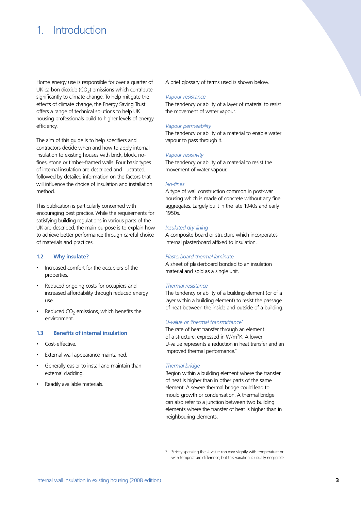# 1. Introduction

Home energy use is responsible for over a quarter of UK carbon dioxide ( $CO<sub>2</sub>$ ) emissions which contribute significantly to climate change. To help mitigate the effects of climate change, the Energy Saving Trust offers a range of technical solutions to help UK housing professionals build to higher levels of energy efficiency.

The aim of this guide is to help specifiers and contractors decide when and how to apply internal insulation to existing houses with brick, block, nofines, stone or timber-framed walls. Four basic types of internal insulation are described and illustrated, followed by detailed information on the factors that will influence the choice of insulation and installation method.

This publication is particularly concerned with encouraging best practice. While the requirements for satisfying building regulations in various parts of the UK are described, the main purpose is to explain how to achieve better performance through careful choice of materials and practices.

## **1.2 Why insulate?**

- • Increased comfort for the occupiers of the properties.
- Reduced ongoing costs for occupiers and increased affordability through reduced energy use.
- Reduced  $CO<sub>2</sub>$  emissions, which benefits the environment.

## **1.3 Benefits of internal insulation**

- Cost-effective
- External wall appearance maintained.
- Generally easier to install and maintain than external cladding.
- Readily available materials.

A brief glossary of terms used is shown below.

#### *Vapour resistance*

The tendency or ability of a layer of material to resist the movement of water vapour.

#### *Vapour permeability*

The tendency or ability of a material to enable water vapour to pass through it.

## *Vapour resistivity*

The tendency or ability of a material to resist the movement of water vapour.

## *No-fines*

A type of wall construction common in post-war housing which is made of concrete without any fine aggregates. Largely built in the late 1940s and early 1950s.

## *Insulated dry-lining*

A composite board or structure which incorporates internal plasterboard affixed to insulation.

### *Plasterboard thermal laminate*

A sheet of plasterboard bonded to an insulation material and sold as a single unit.

#### *Thermal resistance*

The tendency or ability of a building element (or of a layer within a building element) to resist the passage of heat between the inside and outside of a building.

## *U-value or 'thermal transmittance'*

The rate of heat transfer through an element of a structure, expressed in W/m2K. A lower U-value represents a reduction in heat transfer and an improved thermal performance.**\***

### *Thermal bridge*

Region within a building element where the transfer of heat is higher than in other parts of the same element. A severe thermal bridge could lead to mould growth or condensation. A thermal bridge can also refer to a junction between two building elements where the transfer of heat is higher than in neighbouring elements.

Strictly speaking the U-value can vary slightly with temperature or with temperature difference, but this variation is usually negligible.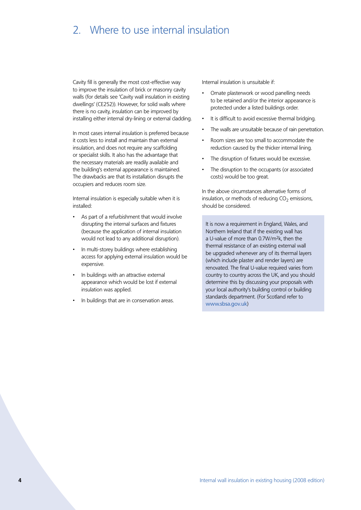# 2. Where to use internal insulation

Cavity fill is generally the most cost-effective way to improve the insulation of brick or masonry cavity walls (for details see 'Cavity wall insulation in existing dwellings' (CE252)). However, for solid walls where there is no cavity, insulation can be improved by installing either internal dry-lining or external cladding.

In most cases internal insulation is preferred because it costs less to install and maintain than external insulation, and does not require any scaffolding or specialist skills. It also has the advantage that the necessary materials are readily available and the building's external appearance is maintained. The drawbacks are that its installation disrupts the occupiers and reduces room size.

Internal insulation is especially suitable when it is installed:

- As part of a refurbishment that would involve disrupting the internal surfaces and fixtures (because the application of internal insulation would not lead to any additional disruption).
- In multi-storey buildings where establishing access for applying external insulation would be expensive.
- In buildings with an attractive external appearance which would be lost if external insulation was applied.
- In buildings that are in conservation areas.

Internal insulation is unsuitable if:

- Ornate plasterwork or wood panelling needs to be retained and/or the interior appearance is protected under a listed buildings order.
- It is difficult to avoid excessive thermal bridging.
- The walls are unsuitable because of rain penetration.
- • Room sizes are too small to accommodate the reduction caused by the thicker internal lining.
- The disruption of fixtures would be excessive.
- The disruption to the occupants (or associated costs) would be too great.

In the above circumstances alternative forms of insulation, or methods of reducing  $CO<sub>2</sub>$  emissions, should be considered.

It is now a requirement in England, Wales, and Northern Ireland that if the existing wall has a U-value of more than 0.7W/m2k, then the thermal resistance of an existing external wall be upgraded whenever any of its thermal layers (which include plaster and render layers) are renovated. The final U-value required varies from country to country across the UK, and you should determine this by discussing your proposals with your local authority's building control or building standards department. (For Scotland refer to www.sbsa.gov.uk)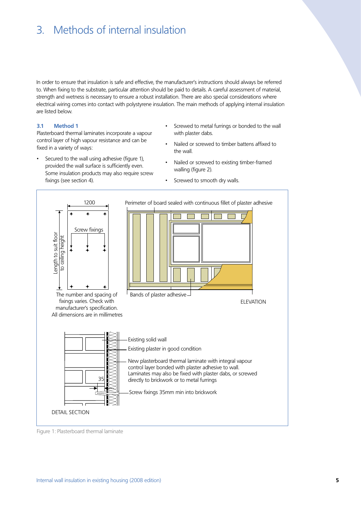# 3. Methods of internal insulation

In order to ensure that insulation is safe and effective, the manufacturer's instructions should always be referred to. When fixing to the substrate, particular attention should be paid to details. A careful assessment of material, strength and wetness is necessary to ensure a robust installation. There are also special considerations where electrical wiring comes into contact with polystyrene insulation. The main methods of applying internal insulation are listed below.

### **3.1 Method 1**

Plasterboard thermal laminates incorporate a vapour control layer of high vapour resistance and can be fixed in a variety of ways:

- Secured to the wall using adhesive (figure 1), provided the wall surface is sufficiently even. Some insulation products may also require screw fixings (see section 4).
- Screwed to metal furrings or bonded to the wall with plaster dabs.
- Nailed or screwed to timber battens affixed to the wall.
- Nailed or screwed to existing timber-framed walling (figure 2).
- Screwed to smooth dry walls.



Figure 1: Plasterboard thermal laminate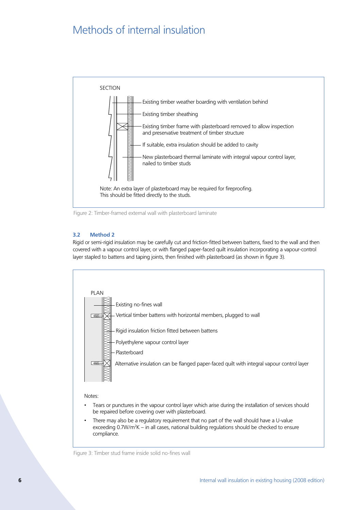# Methods of internal insulation



Figure 2: Timber-framed external wall with plasterboard laminate

# **3.2 Method 2**

Rigid or semi-rigid insulation may be carefully cut and friction-fitted between battens, fixed to the wall and then covered with a vapour control layer, or with flanged paper-faced quilt insulation incorporating a vapour-control layer stapled to battens and taping joints, then finished with plasterboard (as shown in figure 3).



# Notes:

- Tears or punctures in the vapour control layer which arise during the installation of services should be repaired before covering over with plasterboard.
- There may also be a regulatory requirement that no part of the wall should have a U-value exceeding 0.7W/m<sup>2</sup>K – in all cases, national building regulations should be checked to ensure compliance.

Figure 3: Timber stud frame inside solid no-fines wall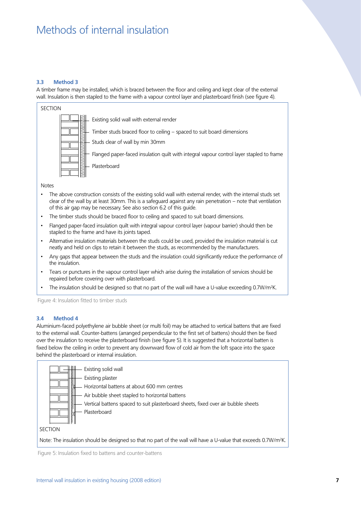# Methods of internal insulation

## **3.3 Method 3**

A timber frame may be installed, which is braced between the floor and ceiling and kept clear of the external wall. Insulation is then stapled to the frame with a vapour control layer and plasterboard finish (see figure 4).



Notes

- The above construction consists of the existing solid wall with external render, with the internal studs set clear of the wall by at least 30mm. This is a safeguard against any rain penetration – note that ventilation of this air gap may be necessary. See also section 6.2 of this guide.
- The timber studs should be braced floor to ceiling and spaced to suit board dimensions.
- Flanged paper-faced insulation quilt with integral vapour control layer (vapour barrier) should then be stapled to the frame and have its joints taped.
- Alternative insulation materials between the studs could be used, provided the insulation material is cut neatly and held on clips to retain it between the studs, as recommended by the manufacturers.
- Any gaps that appear between the studs and the insulation could significantly reduce the performance of the insulation.
- Tears or punctures in the vapour control layer which arise during the installation of services should be repaired before covering over with plasterboard.
- The insulation should be designed so that no part of the wall will have a U-value exceeding 0.7W/m2 K.

Figure 4: Insulation fitted to timber studs

## **3.4 Method 4**

Aluminium-faced polyethylene air bubble sheet (or multi foil) may be attached to vertical battens that are fixed to the external wall. Counter-battens (arranged perpendicular to the first set of battens) should then be fixed over the insulation to receive the plasterboard finish (see figure 5). It is suggested that a horizontal batten is fixed below the ceiling in order to prevent any downward flow of cold air from the loft space into the space behind the plasterboard or internal insulation.



Figure 5: Insulation fixed to battens and counter-battens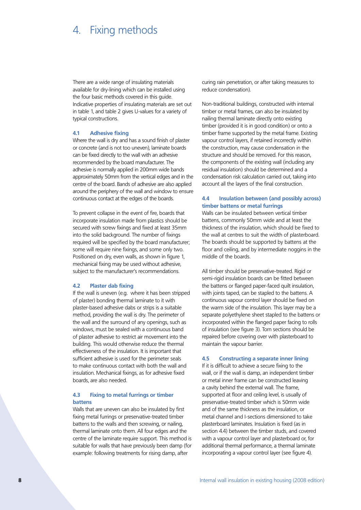# 4. Fixing methods

There are a wide range of insulating materials available for dry-lining which can be installed using the four basic methods covered in this guide. Indicative properties of insulating materials are set out in table 1, and table 2 gives U-values for a variety of typical constructions.

# **4.1 Adhesive fixing**

Where the wall is dry and has a sound finish of plaster or concrete (and is not too uneven), laminate boards can be fixed directly to the wall with an adhesive recommended by the board manufacturer. The adhesive is normally applied in 200mm wide bands approximately 50mm from the vertical edges and in the centre of the board. Bands of adhesive are also applied around the periphery of the wall and window to ensure continuous contact at the edges of the boards.

To prevent collapse in the event of fire, boards that incorporate insulation made from plastics should be secured with screw fixings and fixed at least 35mm into the solid background. The number of fixings required will be specified by the board manufacturer; some will require nine fixings, and some only two. Positioned on dry, even walls, as shown in figure 1, mechanical fixing may be used without adhesive, subject to the manufacturer's recommendations.

#### **4.2 Plaster dab fixing**

If the wall is uneven (e.g. where it has been stripped of plaster) bonding thermal laminate to it with plaster-based adhesive dabs or strips is a suitable method, providing the wall is dry. The perimeter of the wall and the surround of any openings, such as windows, must be sealed with a continuous band of plaster adhesive to restrict air movement into the building. This would otherwise reduce the thermal effectiveness of the insulation. It is important that sufficient adhesive is used for the perimeter seals to make continuous contact with both the wall and insulation. Mechanical fixings, as for adhesive fixed boards, are also needed.

# **4.3 Fixing to metal furrings or timber battens**

Walls that are uneven can also be insulated by first fixing metal furrings or preservative-treated timber battens to the walls and then screwing, or nailing, thermal laminate onto them. All four edges and the centre of the laminate require support. This method is suitable for walls that have previously been damp (for example: following treatments for rising damp, after

curing rain penetration, or after taking measures to reduce condensation).

Non-traditional buildings, constructed with internal timber or metal frames, can also be insulated by nailing thermal laminate directly onto existing timber (provided it is in good condition) or onto a timber frame supported by the metal frame. Existing vapour control layers, if retained incorrectly within the construction, may cause condensation in the structure and should be removed. For this reason, the components of the existing wall (including any residual insulation) should be determined and a condensation risk calculation carried out, taking into account all the layers of the final construction.

## **4.4 Insulation between (and possibly across) timber battens or metal furrings**

Walls can be insulated between vertical timber battens, commonly 50mm wide and at least the thickness of the insulation, which should be fixed to the wall at centres to suit the width of plasterboard. The boards should be supported by battens at the floor and ceiling, and by intermediate noggins in the middle of the boards.

All timber should be preservative-treated. Rigid or semi-rigid insulation boards can be fitted between the battens or flanged paper-faced quilt insulation, with joints taped, can be stapled to the battens. A continuous vapour control layer should be fixed on the warm side of the insulation. This layer may be a separate polyethylene sheet stapled to the battens or incorporated within the flanged paper facing to rolls of insulation (see figure 3). Torn sections should be repaired before covering over with plasterboard to maintain the vapour barrier.

#### **4.5 Constructing a separate inner lining**

If it is difficult to achieve a secure fixing to the wall, or if the wall is damp, an independent timber or metal inner frame can be constructed leaving a cavity behind the external wall. The frame, supported at floor and ceiling level, is usually of preservative-treated timber which is 50mm wide and of the same thickness as the insulation, or metal channel and I-sections dimensioned to take plasterboard laminates. Insulation is fixed (as in section 4.4) between the timber studs, and covered with a vapour control layer and plasterboard or, for additional thermal performance, a thermal laminate incorporating a vapour control layer (see figure 4).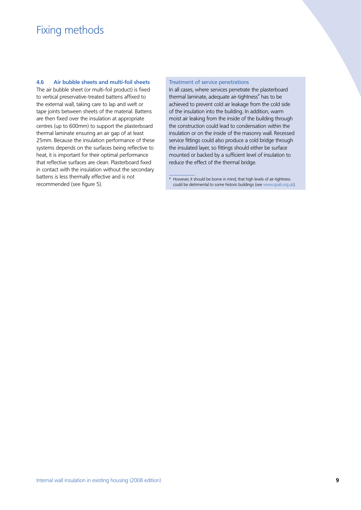# Fixing methods

**4.6 Air bubble sheets and multi-foil sheets**

The air bubble sheet (or multi-foil product) is fixed to vertical preservative-treated battens affixed to the external wall, taking care to lap and welt or tape joints between sheets of the material. Battens are then fixed over the insulation at appropriate centres (up to 600mm) to support the plasterboard thermal laminate ensuring an air gap of at least 25mm. Because the insulation performance of these systems depends on the surfaces being reflective to heat, it is important for their optimal performance that reflective surfaces are clean. Plasterboard fixed in contact with the insulation without the secondary battens is less thermally effective and is not recommended (see figure 5).

### Treatment of service penetrations

In all cases, where services penetrate the plasterboard thermal laminate, adequate air-tightness**\*** has to be achieved to prevent cold air leakage from the cold side of the insulation into the building. In addition, warm moist air leaking from the inside of the building through the construction could lead to condensation within the insulation or on the inside of the masonry wall. Recessed service fittings could also produce a cold bridge through the insulated layer, so fittings should either be surface mounted or backed by a sufficient level of insulation to reduce the effect of the thermal bridge.

<sup>\*</sup> However, it should be borne in mind, that high levels of air-tightness could be detrimental to some historic buildings (see www.spab.org.uk).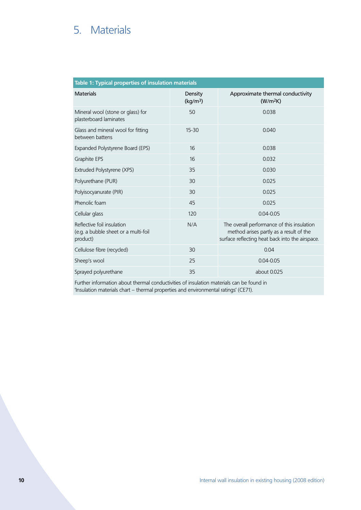# 5. Materials

| Table 1: Typical properties of insulation materials                            |                                 |                                                                                                                                          |  |  |  |  |  |  |
|--------------------------------------------------------------------------------|---------------------------------|------------------------------------------------------------------------------------------------------------------------------------------|--|--|--|--|--|--|
| <b>Materials</b>                                                               | Density<br>(kg/m <sup>3</sup> ) | Approximate thermal conductivity<br>(W/m <sup>2</sup> K)                                                                                 |  |  |  |  |  |  |
| Mineral wool (stone or glass) for<br>plasterboard laminates                    | 50                              | 0.038                                                                                                                                    |  |  |  |  |  |  |
| Glass and mineral wool for fitting<br>between battens                          | $15 - 30$                       | 0.040                                                                                                                                    |  |  |  |  |  |  |
| Expanded Polystyrene Board (EPS)                                               | 16                              | 0.038                                                                                                                                    |  |  |  |  |  |  |
| Graphite EPS                                                                   | 16                              | 0.032                                                                                                                                    |  |  |  |  |  |  |
| Extruded Polystyrene (XPS)                                                     | 35                              | 0.030                                                                                                                                    |  |  |  |  |  |  |
| Polyurethane (PUR)                                                             | 30                              | 0.025                                                                                                                                    |  |  |  |  |  |  |
| Polyisocyanurate (PIR)                                                         | 30                              | 0.025                                                                                                                                    |  |  |  |  |  |  |
| Phenolic foam                                                                  | 45                              | 0.025                                                                                                                                    |  |  |  |  |  |  |
| Cellular glass                                                                 | 120                             | $0.04 - 0.05$                                                                                                                            |  |  |  |  |  |  |
| Reflective foil insulation<br>(e.g. a bubble sheet or a multi-foil<br>product) | N/A                             | The overall performance of this insulation<br>method arises partly as a result of the<br>surface reflecting heat back into the airspace. |  |  |  |  |  |  |
| Cellulose fibre (recycled)                                                     | 30                              | 0.04                                                                                                                                     |  |  |  |  |  |  |
| Sheep's wool                                                                   | 25                              | $0.04 - 0.05$                                                                                                                            |  |  |  |  |  |  |
| Sprayed polyurethane                                                           | 35                              | about 0.025                                                                                                                              |  |  |  |  |  |  |

Further information about thermal conductivities of insulation materials can be found in 'Insulation materials chart – thermal properties and environmental ratings' (CE71).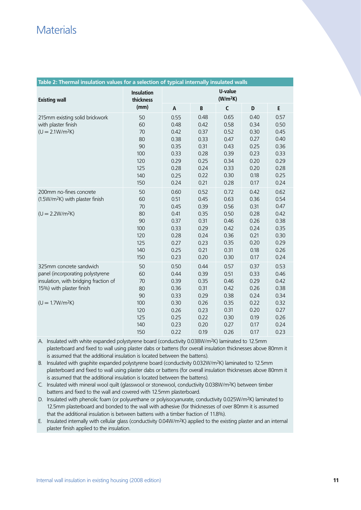# **Materials**

| Table 2: Thermal insulation values for a selection of typical internally insulated walls                                                             |                                                               |                                                                              |                                                                              |                                                                              |                                                                              |                                                                              |  |  |
|------------------------------------------------------------------------------------------------------------------------------------------------------|---------------------------------------------------------------|------------------------------------------------------------------------------|------------------------------------------------------------------------------|------------------------------------------------------------------------------|------------------------------------------------------------------------------|------------------------------------------------------------------------------|--|--|
| <b>Existing wall</b>                                                                                                                                 | <b>Insulation</b><br>thickness                                | U-value<br>(W/m <sup>2</sup> K)                                              |                                                                              |                                                                              |                                                                              |                                                                              |  |  |
|                                                                                                                                                      | (mm)                                                          | A                                                                            | B                                                                            | $\mathsf{C}$                                                                 | D                                                                            | E                                                                            |  |  |
| 215mm existing solid brickwork<br>with plaster finish<br>$(U = 2.1 W/m2K)$                                                                           | 50<br>60<br>70<br>80<br>90<br>100<br>120<br>125<br>140<br>150 | 0.55<br>0.48<br>0.42<br>0.38<br>0.35<br>0.33<br>0.29<br>0.28<br>0.25<br>0.24 | 0.48<br>0.42<br>0.37<br>0.33<br>0.31<br>0.28<br>0.25<br>0.24<br>0.22<br>0.21 | 0.65<br>0.58<br>0.52<br>0.47<br>0.43<br>0.39<br>0.34<br>0.33<br>0.30<br>0.28 | 0.40<br>0.34<br>0.30<br>0.27<br>0.25<br>0.23<br>0.20<br>0.20<br>0.18<br>0.17 | 0.57<br>0.50<br>0.45<br>0.40<br>0.36<br>0.33<br>0.29<br>0.28<br>0.25<br>0.24 |  |  |
| 200mm no-fines concrete<br>(1.5W/m <sup>2</sup> K) with plaster finish<br>$(U = 2.2W/m2K)$                                                           | 50<br>60<br>70<br>80<br>90<br>100<br>120<br>125<br>140<br>150 | 0.60<br>0.51<br>0.45<br>0.41<br>0.37<br>0.33<br>0.28<br>0.27<br>0.25<br>0.23 | 0.52<br>0.45<br>0.39<br>0.35<br>0.31<br>0.29<br>0.24<br>0.23<br>0.21<br>0.20 | 0.72<br>0.63<br>0.56<br>0.50<br>0.46<br>0.42<br>0.36<br>0.35<br>0.31<br>0.30 | 0.42<br>0.36<br>0.31<br>0.28<br>0.26<br>0.24<br>0.21<br>0.20<br>0.18<br>0.17 | 0.62<br>0.54<br>0.47<br>0.42<br>0.38<br>0.35<br>0.30<br>0.29<br>0.26<br>0.24 |  |  |
| 325mm concrete sandwich<br>panel (incorporating polystyrene<br>insulation, with bridging fraction of<br>15%) with plaster finish<br>$(U = 1.7W/m2K)$ | 50<br>60<br>70<br>80<br>90<br>100<br>120<br>125<br>140<br>150 | 0.50<br>0.44<br>0.39<br>0.36<br>0.33<br>0.30<br>0.26<br>0.25<br>0.23<br>0.22 | 0.44<br>0.39<br>0.35<br>0.31<br>0.29<br>0.26<br>0.23<br>0.22<br>0.20<br>0.19 | 0.57<br>0.51<br>0.46<br>0.42<br>0.38<br>0.35<br>0.31<br>0.30<br>0.27<br>0.26 | 0.37<br>0.33<br>0.29<br>0.26<br>0.24<br>0.22<br>0.20<br>0.19<br>0.17<br>0.17 | 0.53<br>0.46<br>0.42<br>0.38<br>0.34<br>0.32<br>0.27<br>0.26<br>0.24<br>0.23 |  |  |

A. Insulated with white expanded polystyrene board (conductivity 0.038W/m2K) laminated to 12.5mm

plasterboard and fixed to wall using plaster dabs or battens (for overall insulation thicknesses above 80mm it is assumed that the additional insulation is located between the battens).

B. Insulated with graphite expanded polystyrene board (conductivity 0.032W/m<sup>2</sup>K) laminated to 12.5mm plasterboard and fixed to wall using plaster dabs or battens (for overall insulation thicknesses above 80mm it is assumed that the additional insulation is located between the battens).

C. Insulated with mineral wool quilt (glasswool or stonewool, conductivity 0.038W/m2K) between timber battens and fixed to the wall and covered with 12.5mm plasterboard.

D. Insulated with phenolic foam (or polyurethane or polyisocyanurate, conductivity 0.025W/m2K) laminated to 12.5mm plasterboard and bonded to the wall with adhesive (for thicknesses of over 80mm it is assumed that the additional insulation is between battens with a timber fraction of 11.8%).

E. Insulated internally with cellular glass (conductivity  $0.04W/m^2K$ ) applied to the existing plaster and an internal plaster finish applied to the insulation.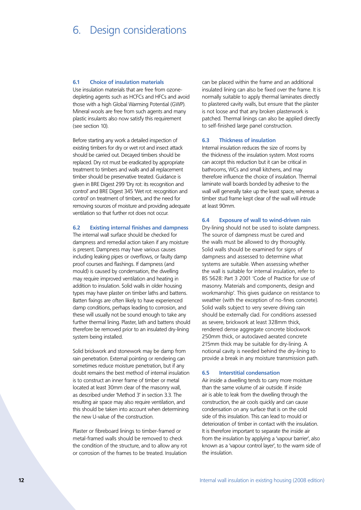# 6. Design considerations

### **6.1 Choice of insulation materials**

Use insulation materials that are free from ozonedepleting agents such as HCFCs and HFCs and avoid those with a high Global Warming Potential (GWP). Mineral wools are free from such agents and many plastic insulants also now satisfy this requirement (see section 10).

Before starting any work a detailed inspection of existing timbers for dry or wet rot and insect attack should be carried out. Decayed timbers should be replaced. Dry rot must be eradicated by appropriate treatment to timbers and walls and all replacement timber should be preservative treated. Guidance is given in BRE Digest 299 'Dry rot: its recognition and control' and BRE Digest 345 'Wet rot: recognition and control' on treatment of timbers, and the need for removing sources of moisture and providing adequate ventilation so that further rot does not occur.

## **6.2 Existing internal finishes and dampness**

The internal wall surface should be checked for dampness and remedial action taken if any moisture is present. Dampness may have various causes including leaking pipes or overflows, or faulty damp proof courses and flashings. If dampness (and mould) is caused by condensation, the dwelling may require improved ventilation and heating in addition to insulation. Solid walls in older housing types may have plaster on timber laths and battens. Batten fixings are often likely to have experienced damp conditions, perhaps leading to corrosion, and these will usually not be sound enough to take any further thermal lining. Plaster, lath and battens should therefore be removed prior to an insulated dry-lining system being installed.

Solid brickwork and stonework may be damp from rain penetration. External pointing or rendering can sometimes reduce moisture penetration, but if any doubt remains the best method of internal insulation is to construct an inner frame of timber or metal located at least 30mm clear of the masonry wall, as described under 'Method 3' in section 3.3. The resulting air space may also require ventilation, and this should be taken into account when determining the new U-value of the construction.

Plaster or fibreboard linings to timber-framed or metal-framed walls should be removed to check the condition of the structure, and to allow any rot or corrosion of the frames to be treated. Insulation

can be placed within the frame and an additional insulated lining can also be fixed over the frame. It is normally suitable to apply thermal laminates directly to plastered cavity walls, but ensure that the plaster is not loose and that any broken plasterwork is patched. Thermal linings can also be applied directly to self-finished large panel construction.

### **6.3 Thickness of insulation**

Internal insulation reduces the size of rooms by the thickness of the insulation system. Most rooms can accept this reduction but it can be critical in bathrooms, WCs and small kitchens, and may therefore influence the choice of insulation. Thermal laminate wall boards bonded by adhesive to the wall will generally take up the least space, whereas a timber stud frame kept clear of the wall will intrude at least 90mm.

### **6.4 Exposure of wall to wind-driven rain**

Dry-lining should not be used to isolate dampness. The source of dampness must be cured and the walls must be allowed to dry thoroughly. Solid walls should be examined for signs of dampness and assessed to determine what systems are suitable. When assessing whether the wall is suitable for internal insulation, refer to BS 5628: Part 3 2001 'Code of Practice for use of masonry. Materials and components, design and workmanship'. This gives guidance on resistance to weather (with the exception of no-fines concrete). Solid walls subject to very severe driving rain should be externally clad. For conditions assessed as severe, brickwork at least 328mm thick, rendered dense aggregate concrete blockwork 250mm thick, or autoclaved aerated concrete 215mm thick may be suitable for dry-lining. A notional cavity is needed behind the dry-lining to provide a break in any moisture transmission path.

### **6.5 Interstitial condensation**

Air inside a dwelling tends to carry more moisture than the same volume of air outside. If inside air is able to leak from the dwelling through the construction, the air cools quickly and can cause condensation on any surface that is on the cold side of this insulation. This can lead to mould or deterioration of timber in contact with the insulation. It is therefore important to separate the inside air from the insulation by applying a 'vapour barrier', also known as a 'vapour control layer', to the warm side of the insulation.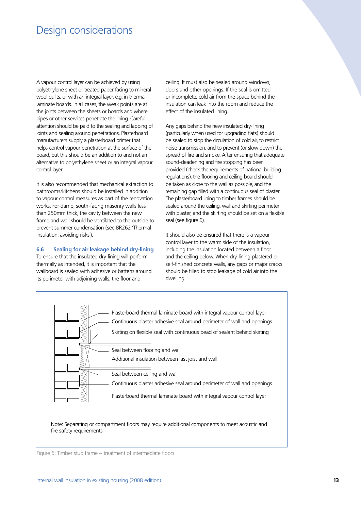# Design considerations

A vapour control layer can be achieved by using polyethylene sheet or treated paper facing to mineral wool quilts, or with an integral layer, e.g. in thermal laminate boards. In all cases, the weak points are at the joints between the sheets or boards and where pipes or other services penetrate the lining. Careful attention should be paid to the sealing and lapping of joints and sealing around penetrations. Plasterboard manufacturers supply a plasterboard primer that helps control vapour penetration at the surface of the board, but this should be an addition to and not an alternative to polyethylene sheet or an integral vapour control layer.

It is also recommended that mechanical extraction to bathrooms/kitchens should be installed in addition to vapour control measures as part of the renovation works. For damp, south-facing masonry walls less than 250mm thick, the cavity between the new frame and wall should be ventilated to the outside to prevent summer condensation (see BR262 'Thermal Insulation: avoiding risks').

#### **6.6 Sealing for air leakage behind dry-lining**

To ensure that the insulated dry-lining will perform thermally as intended, it is important that the wallboard is sealed with adhesive or battens around its perimeter with adjoining walls, the floor and

ceiling. It must also be sealed around windows, doors and other openings. If the seal is omitted or incomplete, cold air from the space behind the insulation can leak into the room and reduce the effect of the insulated lining.

Any gaps behind the new insulated dry-lining (particularly when used for upgrading flats) should be sealed to stop the circulation of cold air, to restrict noise transmission, and to prevent (or slow down) the spread of fire and smoke. After ensuring that adequate sound-deadening and fire stopping has been provided (check the requirements of national building regulations), the flooring and ceiling board should be taken as close to the wall as possible, and the remaining gap filled with a continuous seal of plaster. The plasterboard lining to timber frames should be sealed around the ceiling, wall and skirting perimeter with plaster, and the skirting should be set on a flexible seal (see figure 6).

It should also be ensured that there is a vapour control layer to the warm side of the insulation, including the insulation located between a floor and the ceiling below. When dry-lining plastered or self-finished concrete walls, any gaps or major cracks should be filled to stop leakage of cold air into the dwelling.



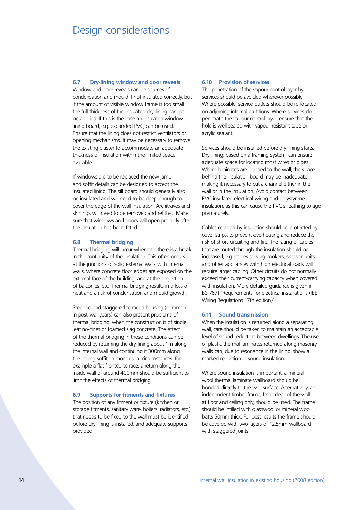# Design considerations

## **6.7 Dry-lining window and door reveals**

Window and door reveals can be sources of condensation and mould if not insulated correctly, but if the amount of visible window frame is too small the full thickness of the insulated dry-lining cannot be applied. If this is the case an insulated window lining board, e.g. expanded PVC, can be used. Ensure that the lining does not restrict ventilators or opening mechanisms. It may be necessary to remove the existing plaster to accommodate an adequate thickness of insulation within the limited space available.

If windows are to be replaced the new jamb and soffit details can be designed to accept the insulated lining. The sill board should generally also be insulated and will need to be deep enough to cover the edge of the wall insulation. Architraves and skirtings will need to be removed and refitted. Make sure that windows and doors will open properly after the insulation has been fitted.

# **6.8 Thermal bridging**

Thermal bridging will occur whenever there is a break in the continuity of the insulation. This often occurs at the junctions of solid external walls with internal walls, where concrete floor edges are exposed on the external face of the building, and at the projection of balconies, etc. Thermal bridging results in a loss of heat and a risk of condensation and mould growth.

Stepped and staggered terraced housing (common in post-war years) can also present problems of thermal bridging, when the construction is of single leaf no-fines or foamed slag concrete. The effect of the thermal bridging in these conditions can be reduced by returning the dry-lining about 1m along the internal wall and continuing it 300mm along the ceiling soffit. In more usual circumstances, for example a flat fronted terrace, a return along the inside wall of around 400mm should be sufficient to limit the effects of thermal bridging.

### **6.9 Supports for fitments and fixtures**

The position of any fitment or fixture (kitchen or storage fitments, sanitary ware, boilers, radiators, etc.) that needs to be fixed to the wall must be identified before dry-lining is installed, and adequate supports provided.

### **6.10 Provision of services**

The penetration of the vapour control layer by services should be avoided wherever possible. Where possible, service outlets should be re-located on adjoining internal partitions. Where services do penetrate the vapour control layer, ensure that the hole is well sealed with vapour resistant tape or acrylic sealant.

Services should be installed before dry-lining starts. Dry-lining, based on a framing system, can ensure adequate space for locating most wires or pipes. Where laminates are bonded to the wall, the space behind the insulation board may be inadequate making it necessary to cut a channel either in the wall or in the insulation. Avoid contact between PVC-insulated electrical wiring and polystyrene insulation, as this can cause the PVC sheathing to age prematurely.

Cables covered by insulation should be protected by cover strips, to prevent overheating and reduce the risk of short-circuiting and fire. The rating of cables that are routed through the insulation should be increased, e.g. cables serving cookers, shower units and other appliances with high electrical loads will require larger cabling. Other circuits do not normally exceed their current-carrying capacity when covered with insulation. More detailed guidance is given in BS 7671 'Requirements for electrical installations (IEE Wiring Regulations 17th edition)'.

## **6.11 Sound transmission**

When the insulation is returned along a separating wall, care should be taken to maintain an acceptable level of sound reduction between dwellings. The use of plastic thermal laminates returned along masonry walls can, due to resonance in the lining, show a marked reduction in sound insulation.

Where sound insulation is important, a mineral wool thermal laminate wallboard should be bonded directly to the wall surface. Alternatively, an independent timber frame, fixed clear of the wall at floor and ceiling only, should be used. The frame should be infilled with glasswool or mineral wool batts 50mm thick. For best results the frame should be covered with two layers of 12.5mm wallboard with staggered joints.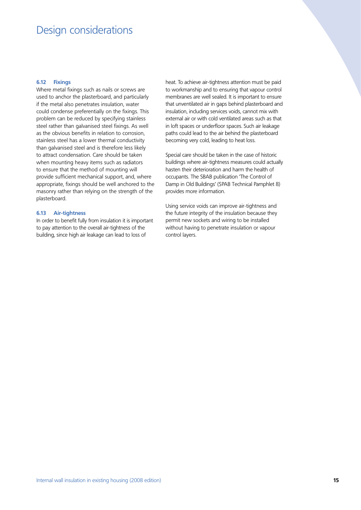# Design considerations

## **6.12 Fixings**

Where metal fixings such as nails or screws are used to anchor the plasterboard, and particularly if the metal also penetrates insulation, water could condense preferentially on the fixings. This problem can be reduced by specifying stainless steel rather than galvanised steel fixings. As well as the obvious benefits in relation to corrosion, stainless steel has a lower thermal conductivity than galvanised steel and is therefore less likely to attract condensation. Care should be taken when mounting heavy items such as radiators to ensure that the method of mounting will provide sufficient mechanical support, and, where appropriate, fixings should be well anchored to the masonry rather than relying on the strength of the plasterboard.

#### **6.13 Air-tightness**

In order to benefit fully from insulation it is important to pay attention to the overall air-tightness of the building, since high air leakage can lead to loss of

heat. To achieve air-tightness attention must be paid to workmanship and to ensuring that vapour control membranes are well sealed. It is important to ensure that unventilated air in gaps behind plasterboard and insulation, including services voids, cannot mix with external air or with cold ventilated areas such as that in loft spaces or underfloor spaces. Such air leakage paths could lead to the air behind the plasterboard becoming very cold, leading to heat loss.

Special care should be taken in the case of historic buildings where air-tightness measures could actually hasten their deterioration and harm the health of occupants. The SBAB publication 'The Control of Damp in Old Buildings' (SPAB Technical Pamphlet 8) provides more information.

Using service voids can improve air-tightness and the future integrity of the insulation because they permit new sockets and wiring to be installed without having to penetrate insulation or vapour control layers.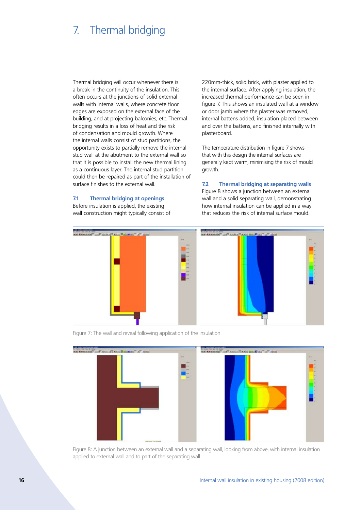# 7. Thermal bridging

Thermal bridging will occur whenever there is a break in the continuity of the insulation. This often occurs at the junctions of solid external walls with internal walls, where concrete floor edges are exposed on the external face of the building, and at projecting balconies, etc. Thermal bridging results in a loss of heat and the risk of condensation and mould growth. Where the internal walls consist of stud partitions, the opportunity exists to partially remove the internal stud wall at the abutment to the external wall so that it is possible to install the new thermal lining as a continuous layer. The internal stud partition could then be repaired as part of the installation of surface finishes to the external wall.

**7.1 Thermal bridging at openings**

Before insulation is applied, the existing wall construction might typically consist of 220mm-thick, solid brick, with plaster applied to the internal surface. After applying insulation, the increased thermal performance can be seen in figure 7. This shows an insulated wall at a window or door jamb where the plaster was removed, internal battens added, insulation placed between and over the battens, and finished internally with plasterboard.

The temperature distribution in figure 7 shows that with this design the internal surfaces are generally kept warm, minimising the risk of mould growth.

**7.2 Thermal bridging at separating walls** Figure 8 shows a junction between an external wall and a solid separating wall, demonstrating how internal insulation can be applied in a way that reduces the risk of internal surface mould.



Figure 7: The wall and reveal following application of the insulation



Figure 8: A junction between an external wall and a separating wall, looking from above, with internal insulation applied to external wall and to part of the separating wall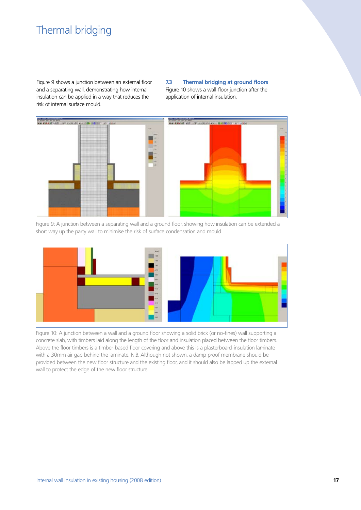# Thermal bridging

Figure 9 shows a junction between an external floor and a separating wall, demonstrating how internal insulation can be applied in a way that reduces the risk of internal surface mould.

**7.3 Thermal bridging at ground floors** Figure 10 shows a wall-floor junction after the application of internal insulation.



Figure 9: A junction between a separating wall and a ground floor, showing how insulation can be extended a short way up the party wall to minimise the risk of surface condensation and mould



Figure 10: A junction between a wall and a ground floor showing a solid brick (or no-fines) wall supporting a concrete slab, with timbers laid along the length of the floor and insulation placed between the floor timbers. Above the floor timbers is a timber-based floor covering and above this is a plasterboard-insulation laminate with a 30mm air gap behind the laminate. N.B. Although not shown, a damp proof membrane should be provided between the new floor structure and the existing floor, and it should also be lapped up the external wall to protect the edge of the new floor structure.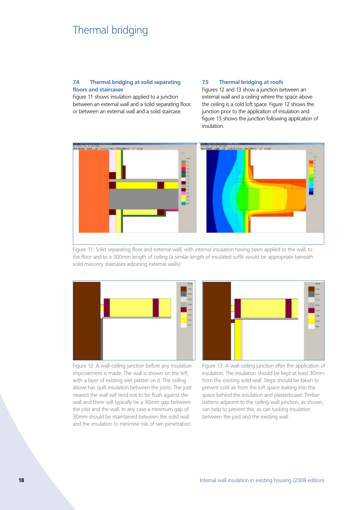# Thermal bridging

## **7.4 Thermal bridging at solid separating floors and staircases**

Figure 11 shows insulation applied to a junction between an external wall and a solid separating floor, or between an external wall and a solid staircase.

### **7.5 Thermal bridging at roofs**

Figures 12 and 13 show a junction between an external wall and a ceiling where the space above the ceiling is a cold loft space. Figure 12 shows the junction prior to the application of insulation and figure 13 shows the junction following application of insulation.



Figure 11: Solid separating floor and external wall, with internal insulation having been applied to the wall, to the floor and to a 300mm length of ceiling (a similar length of insulated soffit would be appropriate beneath solid masonry staircases adjoining external walls)



Figure 12: A wall-ceiling junction before any insulation improvement is made. The wall is shown on the left, with a layer of existing wet plaster on it. The ceiling above has quilt insulation between the joists. The joist nearest the wall will tend not to be flush against the wall and there will typically be a 30mm gap between the joist and the wall. In any case a minimum gap of 30mm should be maintained between the solid wall and the insulation to minimise risk of rain penetration.



Figure 13: A wall-ceiling junction after the application of insulation. The insulation should be kept at least 30mm from the existing solid wall. Steps should be taken to prevent cold air from the loft space leaking into the space behind the insulation and plasterboard. Timber battens adjacent to the ceiling-wall junction, as shown, can help to prevent this, as can tucking insulation between the joist and the existing wall.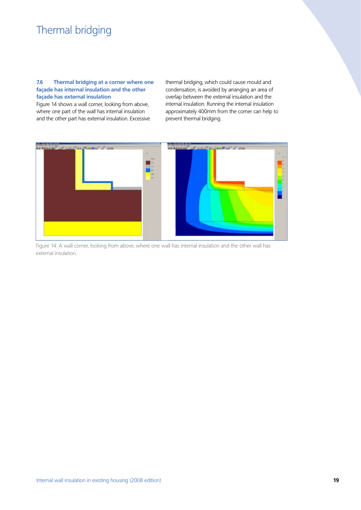# Thermal bridging

## **7.6 Thermal bridging at a corner where one façade has internal insulation and the other façade has external insulation**

Figure 14 shows a wall corner, looking from above, where one part of the wall has internal insulation and the other part has external insulation. Excessive thermal bridging, which could cause mould and condensation, is avoided by arranging an area of overlap between the external insulation and the internal insulation. Running the internal insulation approximately 400mm from the corner can help to prevent thermal bridging.



Figure 14: A wall corner, looking from above, where one wall has internal insulation and the other wall has external insulation.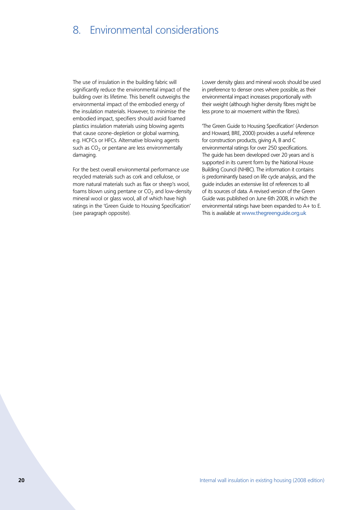# 8. Environmental considerations

The use of insulation in the building fabric will significantly reduce the environmental impact of the building over its lifetime. This benefit outweighs the environmental impact of the embodied energy of the insulation materials. However, to minimise the embodied impact, specifiers should avoid foamed plastics insulation materials using blowing agents that cause ozone-depletion or global warming, e.g. HCFCs or HFCs. Alternative blowing agents such as  $CO<sub>2</sub>$  or pentane are less environmentally damaging.

For the best overall environmental performance use recycled materials such as cork and cellulose, or more natural materials such as flax or sheep's wool, foams blown using pentane or  $CO<sub>2</sub>$  and low-density mineral wool or glass wool, all of which have high ratings in the 'Green Guide to Housing Specification' (see paragraph opposite).

Lower density glass and mineral wools should be used in preference to denser ones where possible, as their environmental impact increases proportionally with their weight (although higher density fibres might be less prone to air movement within the fibres).

'The Green Guide to Housing Specification' (Anderson and Howard, BRE, 2000) provides a useful reference for construction products, giving A, B and C environmental ratings for over 250 specifications. The guide has been developed over 20 years and is supported in its current form by the National House Building Council (NHBC). The information it contains is predominantly based on life cycle analysis, and the guide includes an extensive list of references to all of its sources of data. A revised version of the Green Guide was published on June 6th 2008, in which the environmental ratings have been expanded to A+ to E. This is available at www.thegreenguide.org.uk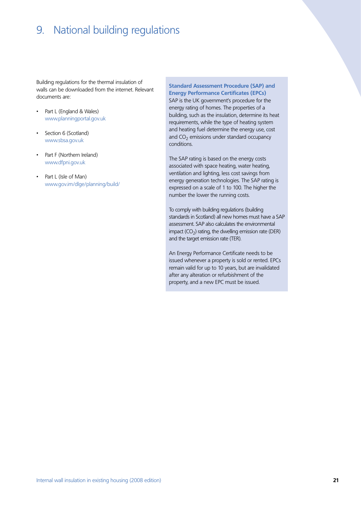# 9. National building regulations

Building regulations for the thermal insulation of walls can be downloaded from the internet. Relevant documents are:

- • Part L (England & Wales) www.planningportal.gov.uk
- Section 6 (Scotland) www.sbsa.gov.uk
- Part F (Northern Ireland) www.dfpni.gov.uk
- Part L (Isle of Man) www.gov.im/dlge/planning/build/

**Standard Assessment Procedure (SAP) and Energy Performance Certificates (EPCs)**

SAP is the UK government's procedure for the energy rating of homes. The properties of a building, such as the insulation, determine its heat requirements, while the type of heating system and heating fuel determine the energy use, cost and  $CO<sub>2</sub>$  emissions under standard occupancy conditions.

The SAP rating is based on the energy costs associated with space heating, water heating, ventilation and lighting, less cost savings from energy generation technologies. The SAP rating is expressed on a scale of 1 to 100. The higher the number the lower the running costs.

To comply with building regulations (building standards in Scotland) all new homes must have a SAP assessment. SAP also calculates the environmental impact  $(CO<sub>2</sub>)$  rating, the dwelling emission rate (DER) and the target emission rate (TER).

An Energy Performance Certificate needs to be issued whenever a property is sold or rented. EPCs remain valid for up to 10 years, but are invalidated after any alteration or refurbishment of the property, and a new EPC must be issued.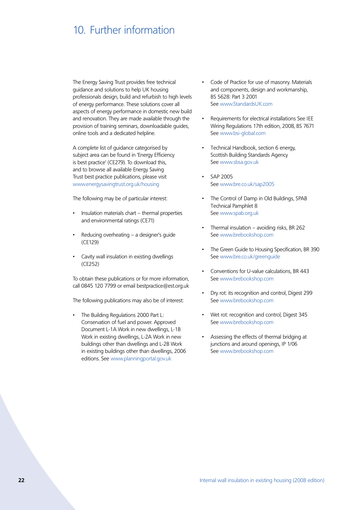# 10. Further information

The Energy Saving Trust provides free technical guidance and solutions to help UK housing professionals design, build and refurbish to high levels of energy performance. These solutions cover all aspects of energy performance in domestic new build and renovation. They are made available through the provision of training seminars, downloadable guides, online tools and a dedicated helpline.

A complete list of guidance categorised by subject area can be found in 'Energy Efficiency is best practice' (CE279). To download this, and to browse all available Energy Saving Trust best practice publications, please visit www.energysavingtrust.org.uk/housing

The following may be of particular interest:

- Insulation materials chart  $-$  thermal properties and environmental ratings (CE71)
- Reducing overheating  $-$  a designer's guide (CE129)
- Cavity wall insulation in existing dwellings (CE252)

To obtain these publications or for more information, call 0845 120 7799 or email bestpractice@est.org.uk

The following publications may also be of interest:

The Building Regulations 2000 Part L: Conservation of fuel and power. Approved Document L-1A Work in new dwellings, L-1B Work in existing dwellings, L-2A Work in new buildings other than dwellings and L-2B Work in existing buildings other than dwellings, 2006 editions. See www.planningportal.gov.uk

- Code of Practice for use of masonry. Materials and components, design and workmanship, BS 5628: Part 3 2001 See www.StandardsUK.com
- Requirements for electrical installations See IEE Wiring Regulations 17th edition, 2008, BS 7671 See www.bsi-global.com
- Technical Handbook, section 6 energy, Scottish Building Standards Agency See www.sbsa.gov.uk
- • SAP 2005 See www.bre.co.uk/sap2005
- The Control of Damp in Old Buildings, SPAB Technical Pamphlet 8 See www.spab.org.uk
- Thermal insulation avoiding risks, BR 262 See www.brebookshop.com
- The Green Guide to Housing Specification, BR 390 See www.bre.co.uk/greenguide
- Conventions for U-value calculations, BR 443 See www.brebookshop.com
- Dry rot: its recognition and control, Digest 299 See www.brebookshop.com
- Wet rot: recognition and control, Digest 345 See www.brebookshop.com
- Assessing the effects of thermal bridging at junctions and around openings, IP 1/06 See www.brebookshop.com